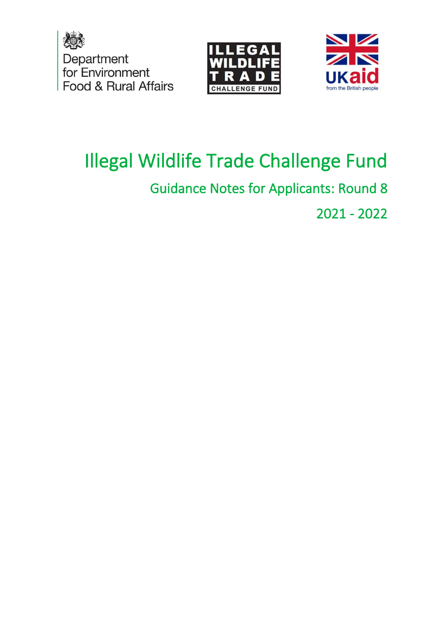





# Illegal Wildlife Trade Challenge Fund

# Guidance Notes for Applicants: Round 8

2021 - 2022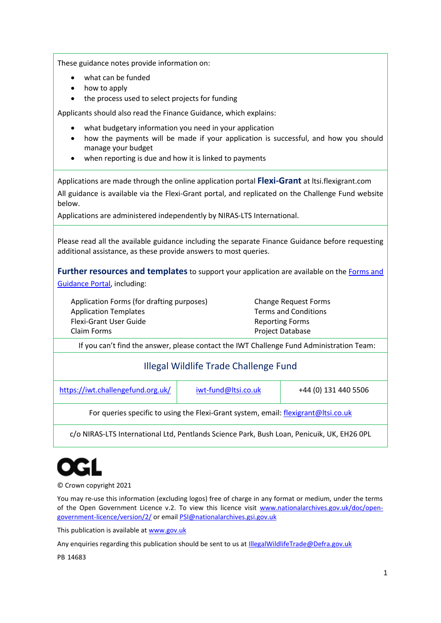These guidance notes provide information on:

- what can be funded
- how to apply
- the process used to select projects for funding

Applicants should also read the Finance Guidance, which explains:

- what budgetary information you need in your application
- how the payments will be made if your application is successful, and how you should manage your budget
- when reporting is due and how it is linked to payments

Applications are made through the online application portal **Flexi-Grant** at ltsi.flexigrant.com

All guidance is available via the Flexi-Grant portal, and replicated on the Challenge Fund website below.

Applications are administered independently by NIRAS-LTS International.

Please read all the available guidance including the separate Finance Guidance before requesting additional assistance, as these provide answers to most queries.

**Further resources and templates** to support your application are available on th[e Forms and](https://iwt.challengefund.org.uk/)  [Guidance Portal,](https://iwt.challengefund.org.uk/) including:

Application Forms (for drafting purposes) Application Templates Flexi-Grant User Guide Claim Forms

Change Request Forms Terms and Conditions Reporting Forms Project Database

If you can't find the answer, please contact the IWT Challenge Fund Administration Team:

#### Illegal Wildlife Trade Challenge Fund

https://iwt.challengefund.org.uk/ [iwt-fund@ltsi.co.uk](mailto:iwt-fund@ltsi.co.uk) +44 (0) 131 440 5506

For queries specific to using the Flexi-Grant system, email: [flexigrant@ltsi.co.uk](mailto:flexigrant@ltsi.co.uk)

c/o NIRAS-LTS International Ltd, Pentlands Science Park, Bush Loan, Penicuik, UK, EH26 0PL



© Crown copyright 2021

You may re-use this information (excluding logos) free of charge in any format or medium, under the terms of the Open Government Licence v.2. To view this licence visit [www.nationalarchives.gov.uk/doc/open](http://www.nationalarchives.gov.uk/doc/open-government-licence/version/2/)[government-licence/version/2/](http://www.nationalarchives.gov.uk/doc/open-government-licence/version/2/) or emai[l PSI@nationalarchives.gsi.gov.uk](mailto:PSI@nationalarchives.gsi.gov.uk)

This publication is available at [www.gov.uk](https://www.gov.uk/)

Any enquiries regarding this publication should be sent to us at **IllegalWildlifeTrade@Defra.gov.uk** 

PB 14683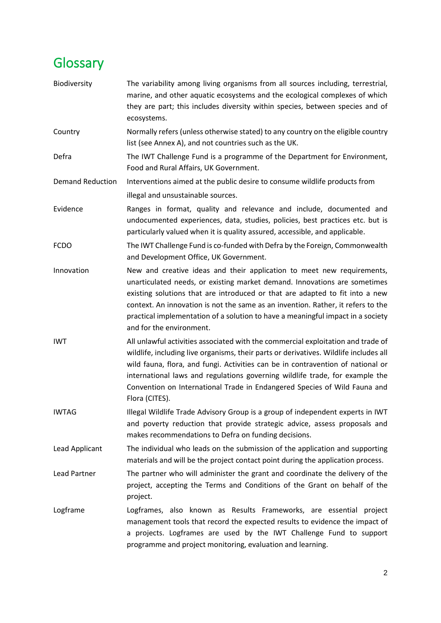# <span id="page-2-0"></span>**Glossary**

| Biodiversity            | The variability among living organisms from all sources including, terrestrial,<br>marine, and other aquatic ecosystems and the ecological complexes of which<br>they are part; this includes diversity within species, between species and of<br>ecosystems.                                                                                                                                                                               |
|-------------------------|---------------------------------------------------------------------------------------------------------------------------------------------------------------------------------------------------------------------------------------------------------------------------------------------------------------------------------------------------------------------------------------------------------------------------------------------|
| Country                 | Normally refers (unless otherwise stated) to any country on the eligible country<br>list (see Annex A), and not countries such as the UK.                                                                                                                                                                                                                                                                                                   |
| Defra                   | The IWT Challenge Fund is a programme of the Department for Environment,<br>Food and Rural Affairs, UK Government.                                                                                                                                                                                                                                                                                                                          |
| <b>Demand Reduction</b> | Interventions aimed at the public desire to consume wildlife products from                                                                                                                                                                                                                                                                                                                                                                  |
|                         | illegal and unsustainable sources.                                                                                                                                                                                                                                                                                                                                                                                                          |
| Evidence                | Ranges in format, quality and relevance and include, documented and<br>undocumented experiences, data, studies, policies, best practices etc. but is<br>particularly valued when it is quality assured, accessible, and applicable.                                                                                                                                                                                                         |
| <b>FCDO</b>             | The IWT Challenge Fund is co-funded with Defra by the Foreign, Commonwealth<br>and Development Office, UK Government.                                                                                                                                                                                                                                                                                                                       |
| Innovation              | New and creative ideas and their application to meet new requirements,<br>unarticulated needs, or existing market demand. Innovations are sometimes<br>existing solutions that are introduced or that are adapted to fit into a new<br>context. An innovation is not the same as an invention. Rather, it refers to the<br>practical implementation of a solution to have a meaningful impact in a society<br>and for the environment.      |
| <b>IWT</b>              | All unlawful activities associated with the commercial exploitation and trade of<br>wildlife, including live organisms, their parts or derivatives. Wildlife includes all<br>wild fauna, flora, and fungi. Activities can be in contravention of national or<br>international laws and regulations governing wildlife trade, for example the<br>Convention on International Trade in Endangered Species of Wild Fauna and<br>Flora (CITES). |
| <b>IWTAG</b>            | Illegal Wildlife Trade Advisory Group is a group of independent experts in IWT<br>and poverty reduction that provide strategic advice, assess proposals and<br>makes recommendations to Defra on funding decisions.                                                                                                                                                                                                                         |
| Lead Applicant          | The individual who leads on the submission of the application and supporting<br>materials and will be the project contact point during the application process.                                                                                                                                                                                                                                                                             |
| Lead Partner            | The partner who will administer the grant and coordinate the delivery of the<br>project, accepting the Terms and Conditions of the Grant on behalf of the<br>project.                                                                                                                                                                                                                                                                       |
| Logframe                | Logframes, also known as Results Frameworks, are essential project<br>management tools that record the expected results to evidence the impact of<br>a projects. Logframes are used by the IWT Challenge Fund to support<br>programme and project monitoring, evaluation and learning.                                                                                                                                                      |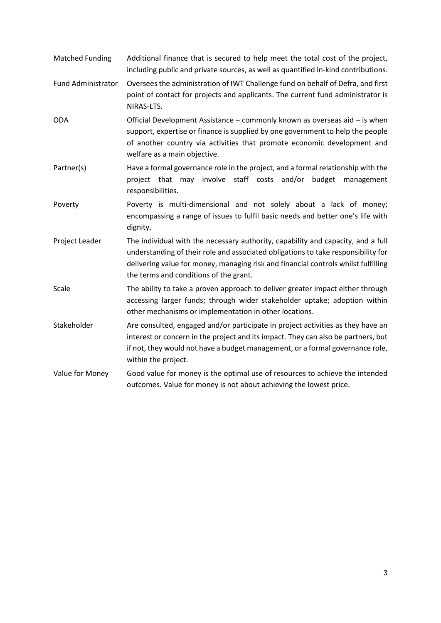- Matched Funding Additional finance that is secured to help meet the total cost of the project, including public and private sources, as well as quantified in-kind contributions.
- Fund Administrator Oversees the administration of IWT Challenge fund on behalf of Defra, and first point of contact for projects and applicants. The current fund administrator is NIRAS-LTS.
- ODA Official Development Assistance commonly known as overseas aid is when support, expertise or finance is supplied by one government to help the people of another country via activities that promote economic development and welfare as a main objective.
- Partner(s) Have a formal governance role in the project, and a formal relationship with the project that may involve staff costs and/or budget management responsibilities.
- Poverty **Poverty** is multi-dimensional and not solely about a lack of money; encompassing a range of issues to fulfil basic needs and better one's life with dignity.
- Project Leader The individual with the necessary authority, capability and capacity, and a full understanding of their role and associated obligations to take responsibility for delivering value for money, managing risk and financial controls whilst fulfilling the terms and conditions of the grant.
- Scale The ability to take a proven approach to deliver greater impact either through accessing larger funds; through wider stakeholder uptake; adoption within other mechanisms or implementation in other locations.
- Stakeholder **Are consulted, engaged and/or participate in project activities as they have an** interest or concern in the project and its impact. They can also be partners, but if not, they would not have a budget management, or a formal governance role, within the project.
- Value for Money Good value for money is the optimal use of resources to achieve the intended outcomes. Value for money is not about achieving the lowest price.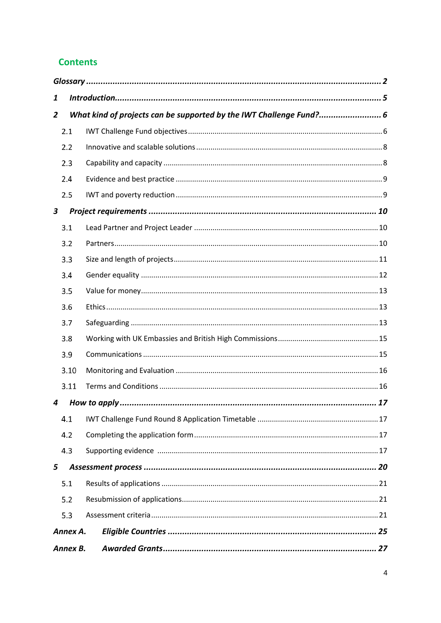#### **Contents**

|          | 1        |                                                                     |  |  |  |
|----------|----------|---------------------------------------------------------------------|--|--|--|
| 2        |          | What kind of projects can be supported by the IWT Challenge Fund? 6 |  |  |  |
|          | 2.1      |                                                                     |  |  |  |
|          | 2.2      |                                                                     |  |  |  |
|          | 2.3      |                                                                     |  |  |  |
|          | 2.4      |                                                                     |  |  |  |
|          | 2.5      |                                                                     |  |  |  |
| 3        |          |                                                                     |  |  |  |
|          | 3.1      |                                                                     |  |  |  |
|          | 3.2      |                                                                     |  |  |  |
|          | 3.3      |                                                                     |  |  |  |
|          | 3.4      |                                                                     |  |  |  |
|          | 3.5      |                                                                     |  |  |  |
|          | 3.6      |                                                                     |  |  |  |
|          | 3.7      |                                                                     |  |  |  |
|          | 3.8      |                                                                     |  |  |  |
|          | 3.9      |                                                                     |  |  |  |
|          | 3.10     |                                                                     |  |  |  |
|          | 3.11     |                                                                     |  |  |  |
| 4        |          |                                                                     |  |  |  |
|          | 4.1      |                                                                     |  |  |  |
|          | 4.2      |                                                                     |  |  |  |
|          | 4.3      |                                                                     |  |  |  |
| 5        |          |                                                                     |  |  |  |
|          | 5.1      |                                                                     |  |  |  |
|          | 5.2      |                                                                     |  |  |  |
|          | 5.3      |                                                                     |  |  |  |
|          | Annex A. |                                                                     |  |  |  |
| Annex B. |          |                                                                     |  |  |  |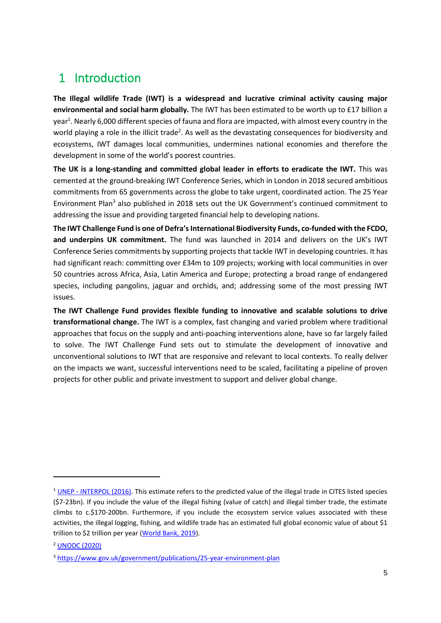# <span id="page-5-0"></span>1 Introduction

**The Illegal wildlife Trade (IWT) is a widespread and lucrative criminal activity causing major environmental and social harm globally.** The IWT has been estimated to be worth up to £17 billion a year<sup>1</sup>. Nearly 6,000 different species of fauna and flora are impacted, with almost every country in the world playing a role in the illicit trade<sup>2</sup>. As well as the devastating consequences for biodiversity and ecosystems, IWT damages local communities, undermines national economies and therefore the development in some of the world's poorest countries.

**The UK is a long-standing and committed global leader in efforts to eradicate the IWT.** This was cemented at the ground-breaking IWT Conference Series, which in London in 2018 secured ambitious commitments from 65 governments across the globe to take urgent, coordinated action. The 25 Year Environment Plan<sup>3</sup> also published in 2018 sets out the UK Government's continued commitment to addressing the issue and providing targeted financial help to developing nations.

**The IWT Challenge Fund is one of Defra's International Biodiversity Funds, co-funded with the FCDO, and underpins UK commitment.** The fund was launched in 2014 and delivers on the UK's IWT Conference Series commitments by supporting projects that tackle IWT in developing countries. It has had significant reach: committing over £34m to 109 projects; working with local communities in over 50 countries across Africa, Asia, Latin America and Europe; protecting a broad range of endangered species, including pangolins, jaguar and orchids, and; addressing some of the most pressing IWT issues.

**The IWT Challenge Fund provides flexible funding to innovative and scalable solutions to drive transformational change.** The IWT is a complex, fast changing and varied problem where traditional approaches that focus on the supply and anti-poaching interventions alone, have so far largely failed to solve. The IWT Challenge Fund sets out to stimulate the development of innovative and unconventional solutions to IWT that are responsive and relevant to local contexts. To really deliver on the impacts we want, successful interventions need to be scaled, facilitating a pipeline of proven projects for other public and private investment to support and deliver global change.

<sup>&</sup>lt;sup>1</sup> UNEP - [INTERPOL \(2016\).](https://www.unep.org/resources/report/rise-environmental-crime-growing-threat-natural-resources-peace-development-and) This estimate refers to the predicted value of the illegal trade in CITES listed species (\$7-23bn). If you include the value of the illegal fishing (value of catch) and illegal timber trade, the estimate climbs to c.\$170-200bn. Furthermore, if you include the ecosystem service values associated with these activities, the illegal logging, fishing, and wildlife trade has an estimated full global economic value of about \$1 trillion to \$2 trillion per year [\(World Bank, 2019\)](https://thedocs.worldbank.org/en/doc/482771571323560234-0120022019/original/WBGReport1017Digital.pdf).

<sup>2</sup> [UNODC \(2020\)](https://www.unodc.org/unodc/en/data-and-analysis/wildlife.html)

<sup>3</sup> <https://www.gov.uk/government/publications/25-year-environment-plan>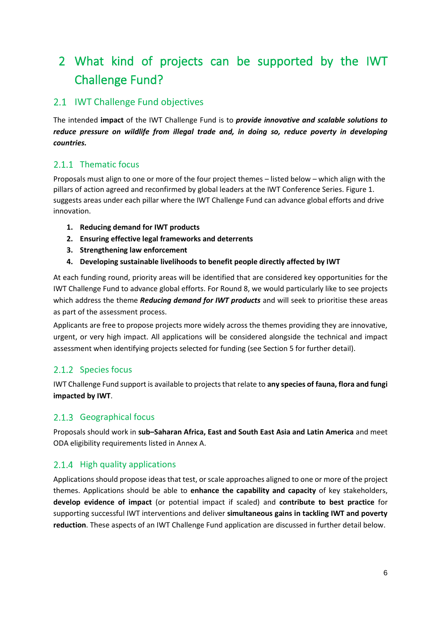# <span id="page-6-0"></span>2 What kind of projects can be supported by the IWT Challenge Fund?

#### <span id="page-6-1"></span>2.1 IWT Challenge Fund objectives

The intended **impact** of the IWT Challenge Fund is to *provide innovative and scalable solutions to reduce pressure on wildlife from illegal trade and, in doing so, reduce poverty in developing countries.*

#### 2.1.1 Thematic focus

Proposals must align to one or more of the four project themes – listed below – which align with the pillars of action agreed and reconfirmed by global leaders at the IWT Conference Series. Figure 1. suggests areas under each pillar where the IWT Challenge Fund can advance global efforts and drive innovation.

- **1. Reducing demand for IWT products**
- **2. Ensuring effective legal frameworks and deterrents**
- **3. Strengthening law enforcement**
- **4. Developing sustainable livelihoods to benefit people directly affected by IWT**

At each funding round, priority areas will be identified that are considered key opportunities for the IWT Challenge Fund to advance global efforts. For Round 8, we would particularly like to see projects which address the theme *Reducing demand for IWT products* and will seek to prioritise these areas as part of the assessment process.

Applicants are free to propose projects more widely across the themes providing they are innovative, urgent, or very high impact. All applications will be considered alongside the technical and impact assessment when identifying projects selected for funding (see Section 5 for further detail).

#### 2.1.2 Species focus

IWT Challenge Fund support is available to projects that relate to **any species of fauna, flora and fungi impacted by IWT**.

#### 2.1.3 Geographical focus

Proposals should work in **sub–Saharan Africa, East and South East Asia and Latin America** and meet ODA eligibility requirements listed in Annex A.

#### 2.1.4 High quality applications

Applications should propose ideas that test, or scale approaches aligned to one or more of the project themes. Applications should be able to **enhance the capability and capacity** of key stakeholders, **develop evidence of impact** (or potential impact if scaled) and **contribute to best practice** for supporting successful IWT interventions and deliver **simultaneous gains in tackling IWT and poverty reduction**. These aspects of an IWT Challenge Fund application are discussed in further detail below.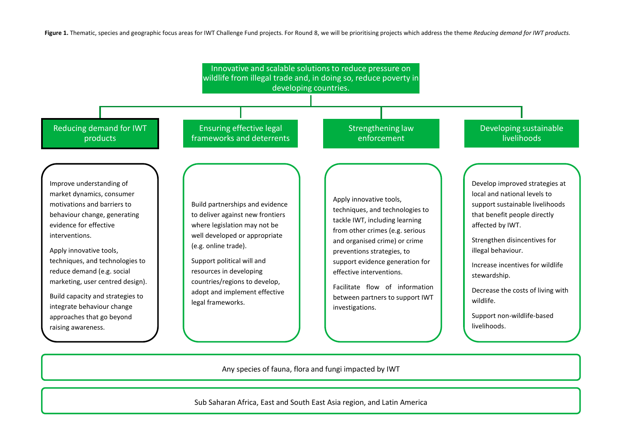**Figure 1.** Thematic, species and geographic focus areas for IWT Challenge Fund projects. For Round 8, we will be prioritising projects which address the theme *Reducing demand for IWT products.*



Any species of fauna, flora and fungi impacted by IWT

Sub Saharan Africa, East and South East Asia region, and Latin America

7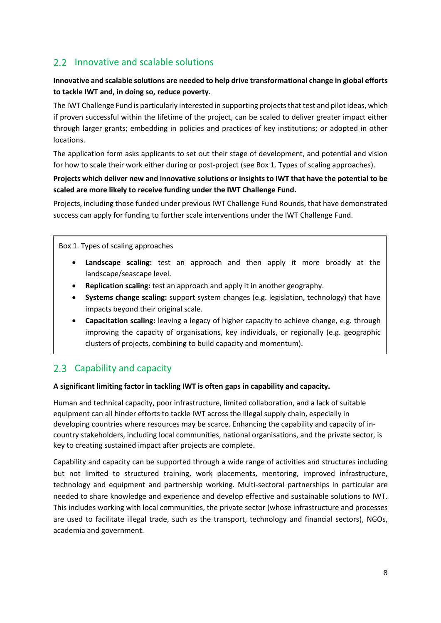#### <span id="page-8-0"></span>2.2 Innovative and scalable solutions

#### **Innovative and scalable solutions are needed to help drive transformational change in global efforts to tackle IWT and, in doing so, reduce poverty.**

The IWT Challenge Fund is particularly interested in supporting projectsthat test and pilot ideas, which if proven successful within the lifetime of the project, can be scaled to deliver greater impact either through larger grants; embedding in policies and practices of key institutions; or adopted in other locations.

The application form asks applicants to set out their stage of development, and potential and vision for how to scale their work either during or post-project (see Box 1. Types of scaling approaches).

#### **Projects which deliver new and innovative solutions or insights to IWT that have the potential to be scaled are more likely to receive funding under the IWT Challenge Fund.**

Projects, including those funded under previous IWT Challenge Fund Rounds, that have demonstrated success can apply for funding to further scale interventions under the IWT Challenge Fund.

Box 1. Types of scaling approaches

- **Landscape scaling:** test an approach and then apply it more broadly at the landscape/seascape level.
- **Replication scaling:** test an approach and apply it in another geography.
- **Systems change scaling:** support system changes (e.g. legislation, technology) that have impacts beyond their original scale.
- **Capacitation scaling:** leaving a legacy of higher capacity to achieve change, e.g. through improving the capacity of organisations, key individuals, or regionally (e.g. geographic clusters of projects, combining to build capacity and momentum).

#### <span id="page-8-1"></span>2.3 Capability and capacity

#### **A significant limiting factor in tackling IWT is often gaps in capability and capacity.**

Human and technical capacity, poor infrastructure, limited collaboration, and a lack of suitable equipment can all hinder efforts to tackle IWT across the illegal supply chain, especially in developing countries where resources may be scarce. Enhancing the capability and capacity of incountry stakeholders, including local communities, national organisations, and the private sector, is key to creating sustained impact after projects are complete.

Capability and capacity can be supported through a wide range of activities and structures including but not limited to structured training, work placements, mentoring, improved infrastructure, technology and equipment and partnership working. Multi-sectoral partnerships in particular are needed to share knowledge and experience and develop effective and sustainable solutions to IWT. This includes working with local communities, the private sector (whose infrastructure and processes are used to facilitate illegal trade, such as the transport, technology and financial sectors), NGOs, academia and government.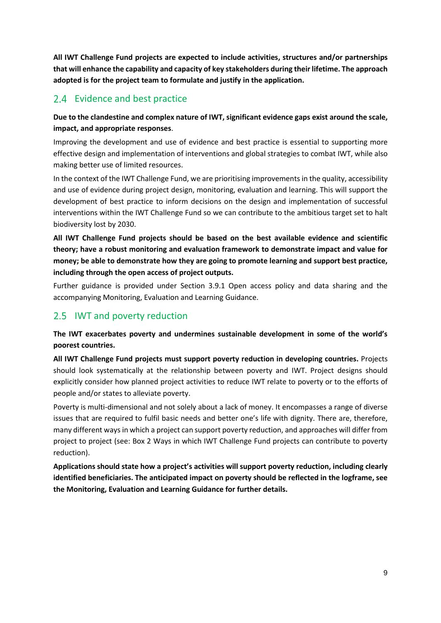**All IWT Challenge Fund projects are expected to include activities, structures and/or partnerships that will enhance the capability and capacity of key stakeholders during their lifetime. The approach adopted is for the project team to formulate and justify in the application.**

#### <span id="page-9-0"></span>2.4 Evidence and best practice

#### **Due to the clandestine and complex nature of IWT, significant evidence gaps exist around the scale, impact, and appropriate responses**.

Improving the development and use of evidence and best practice is essential to supporting more effective design and implementation of interventions and global strategies to combat IWT, while also making better use of limited resources.

In the context of the IWT Challenge Fund, we are prioritising improvements in the quality, accessibility and use of evidence during project design, monitoring, evaluation and learning. This will support the development of best practice to inform decisions on the design and implementation of successful interventions within the IWT Challenge Fund so we can contribute to the ambitious target set to halt biodiversity lost by 2030.

**All IWT Challenge Fund projects should be based on the best available evidence and scientific theory; have a robust monitoring and evaluation framework to demonstrate impact and value for money; be able to demonstrate how they are going to promote learning and support best practice, including through the open access of project outputs.**

Further guidance is provided under Section 3.9.1 Open access policy and data sharing and the accompanying Monitoring, Evaluation and Learning Guidance.

#### <span id="page-9-1"></span>2.5 IWT and poverty reduction

**The IWT exacerbates poverty and undermines sustainable development in some of the world's poorest countries.**

**All IWT Challenge Fund projects must support poverty reduction in developing countries.** Projects should look systematically at the relationship between poverty and IWT. Project designs should explicitly consider how planned project activities to reduce IWT relate to poverty or to the efforts of people and/or states to alleviate poverty.

Poverty is multi-dimensional and not solely about a lack of money. It encompasses a range of diverse issues that are required to fulfil basic needs and better one's life with dignity. There are, therefore, many different ways in which a project can support poverty reduction, and approaches will differ from project to project (see: Box 2 Ways in which IWT Challenge Fund projects can contribute to poverty reduction).

**Applications should state how a project's activities will support poverty reduction, including clearly identified beneficiaries. The anticipated impact on poverty should be reflected in the logframe, see the Monitoring, Evaluation and Learning Guidance for further details.**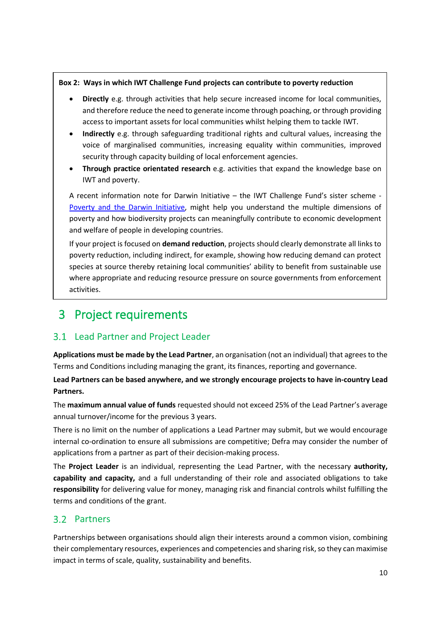#### **Box 2: Ways in which IWT Challenge Fund projects can contribute to poverty reduction**

- **Directly** e.g. through activities that help secure increased income for local communities, and therefore reduce the need to generate income through poaching, or through providing access to important assets for local communities whilst helping them to tackle IWT.
- **Indirectly** e.g. through safeguarding traditional rights and cultural values, increasing the voice of marginalised communities, increasing equality within communities, improved security through capacity building of local enforcement agencies.
- **Through practice orientated research** e.g. activities that expand the knowledge base on IWT and poverty.

A recent information note for Darwin Initiative – the IWT Challenge Fund's sister scheme - [Poverty and the Darwin Initiative,](https://www.darwininitiative.org.uk/publications/information-notes-and-reviews) might help you understand the multiple dimensions of poverty and how biodiversity projects can meaningfully contribute to economic development and welfare of people in developing countries.

If your project is focused on **demand reduction**, projects should clearly demonstrate all links to poverty reduction, including indirect, for example, showing how reducing demand can protect species at source thereby retaining local communities' ability to benefit from sustainable use where appropriate and reducing resource pressure on source governments from enforcement activities.

## <span id="page-10-0"></span>3 Project requirements

#### <span id="page-10-1"></span>3.1 Lead Partner and Project Leader

**Applications must be made by the Lead Partner**, an organisation (not an individual) that agreesto the Terms and Conditions including managing the grant, its finances, reporting and governance.

**Lead Partners can be based anywhere, and we strongly encourage projects to have in-country Lead Partners.**

The **maximum annual value of funds** requested should not exceed 25% of the Lead Partner's average annual turnover/income for the previous 3 years.

There is no limit on the number of applications a Lead Partner may submit, but we would encourage internal co-ordination to ensure all submissions are competitive; Defra may consider the number of applications from a partner as part of their decision-making process.

The **Project Leader** is an individual, representing the Lead Partner, with the necessary **authority, capability and capacity,** and a full understanding of their role and associated obligations to take **responsibility** for delivering value for money, managing risk and financial controls whilst fulfilling the terms and conditions of the grant.

#### <span id="page-10-2"></span>3.2 Partners

Partnerships between organisations should align their interests around a common vision, combining their complementary resources, experiences and competencies and sharing risk, so they can maximise impact in terms of scale, quality, sustainability and benefits.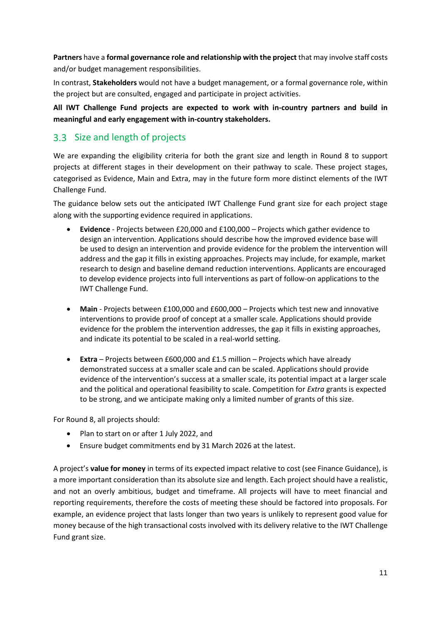**Partners** have a **formal governance role and relationship with the project** that may involve staff costs and/or budget management responsibilities.

In contrast, **Stakeholders** would not have a budget management, or a formal governance role, within the project but are consulted, engaged and participate in project activities.

**All IWT Challenge Fund projects are expected to work with in-country partners and build in meaningful and early engagement with in-country stakeholders.**

#### <span id="page-11-0"></span>3.3 Size and length of projects

We are expanding the eligibility criteria for both the grant size and length in Round 8 to support projects at different stages in their development on their pathway to scale. These project stages, categorised as Evidence, Main and Extra, may in the future form more distinct elements of the IWT Challenge Fund.

The guidance below sets out the anticipated IWT Challenge Fund grant size for each project stage along with the supporting evidence required in applications.

- **Evidence** Projects between £20,000 and £100,000 Projects which gather evidence to design an intervention. Applications should describe how the improved evidence base will be used to design an intervention and provide evidence for the problem the intervention will address and the gap it fills in existing approaches. Projects may include, for example, market research to design and baseline demand reduction interventions. Applicants are encouraged to develop evidence projects into full interventions as part of follow-on applications to the IWT Challenge Fund.
- **Main** Projects between £100,000 and £600,000 Projects which test new and innovative interventions to provide proof of concept at a smaller scale. Applications should provide evidence for the problem the intervention addresses, the gap it fills in existing approaches, and indicate its potential to be scaled in a real-world setting.
- **Extra** Projects between £600,000 and £1.5 million Projects which have already demonstrated success at a smaller scale and can be scaled. Applications should provide evidence of the intervention's success at a smaller scale, its potential impact at a larger scale and the political and operational feasibility to scale. Competition for *Extra* grants is expected to be strong, and we anticipate making only a limited number of grants of this size.

For Round 8, all projects should:

- Plan to start on or after 1 July 2022, and
- Ensure budget commitments end by 31 March 2026 at the latest.

A project's **value for money** in terms of its expected impact relative to cost (see Finance Guidance), is a more important consideration than its absolute size and length. Each project should have a realistic, and not an overly ambitious, budget and timeframe. All projects will have to meet financial and reporting requirements, therefore the costs of meeting these should be factored into proposals. For example, an evidence project that lasts longer than two years is unlikely to represent good value for money because of the high transactional costs involved with its delivery relative to the IWT Challenge Fund grant size.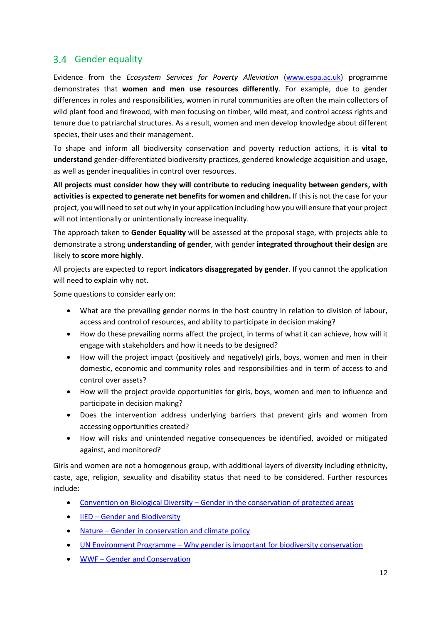#### <span id="page-12-0"></span>3.4 Gender equality

Evidence from the *Ecosystem Services for Poverty Alleviation* [\(www.espa.ac.uk\)](http://www.espa.ac.uk/) programme demonstrates that **women and men use resources differently**. For example, due to gender differences in roles and responsibilities, women in rural communities are often the main collectors of wild plant food and firewood, with men focusing on timber, wild meat, and control access rights and tenure due to patriarchal structures. As a result, women and men develop knowledge about different species, their uses and their management.

To shape and inform all biodiversity conservation and poverty reduction actions, it is **vital to understand** gender-differentiated biodiversity practices, gendered knowledge acquisition and usage, as well as gender inequalities in control over resources.

**All projects must consider how they will contribute to reducing inequality between genders, with activities is expected to generate net benefits for women and children.** If this is not the case for your project, you will need to set out why in your application including how you will ensure that your project will not intentionally or unintentionally increase inequality.

The approach taken to **Gender Equality** will be assessed at the proposal stage, with projects able to demonstrate a strong **understanding of gender**, with gender **integrated throughout their design** are likely to **score more highly**.

All projects are expected to report **indicators disaggregated by gender**. If you cannot the application will need to explain why not.

Some questions to consider early on:

- What are the prevailing gender norms in the host country in relation to division of labour, access and control of resources, and ability to participate in decision making?
- How do these prevailing norms affect the project, in terms of what it can achieve, how will it engage with stakeholders and how it needs to be designed?
- How will the project impact (positively and negatively) girls, boys, women and men in their domestic, economic and community roles and responsibilities and in term of access to and control over assets?
- How will the project provide opportunities for girls, boys, women and men to influence and participate in decision making?
- Does the intervention address underlying barriers that prevent girls and women from accessing opportunities created?
- How will risks and unintended negative consequences be identified, avoided or mitigated against, and monitored?

Girls and women are not a homogenous group, with additional layers of diversity including ethnicity, caste, age, religion, sexuality and disability status that need to be considered. Further resources include:

- Convention on Biological Diversity [Gender in the conservation of protected areas](https://www.cbd.int/doc/pa/tools/Gender%20in%20the%20conservation%20of%20protected%20areas.pdf)
- **IIED [Gender and Biodiversity](https://www.iied.org/gender)**
- Nature [Gender in conservation and climate policy](https://www.nature.com/articles/s41558-019-0448-2.pdf)
- UN Environment Programme [Why gender is important for biodiversity conservation](https://www.unep.org/news-and-stories/story/why-gender-important-biodiversity-conservation)
- WWF [Gender and Conservation](https://wwf.panda.org/our_work/people/people_and_conservation/our_work/gender_and_conservation/#:~:text=Gender%20and%20conservation%20work,about%20the%20environments%20around%20them.)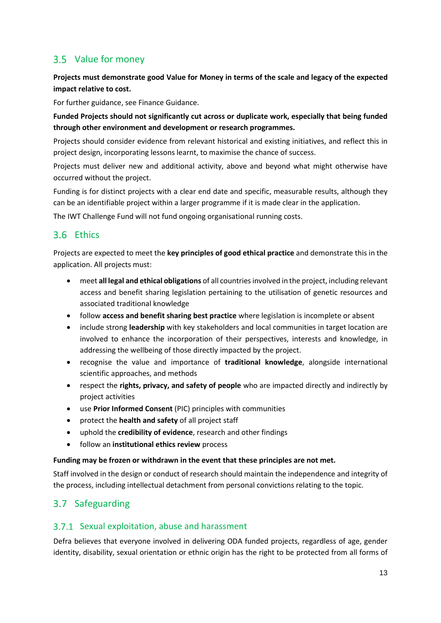#### <span id="page-13-0"></span>3.5 Value for money

**Projects must demonstrate good Value for Money in terms of the scale and legacy of the expected impact relative to cost.**

For further guidance, see Finance Guidance.

**Funded Projects should not significantly cut across or duplicate work, especially that being funded through other environment and development or research programmes.**

Projects should consider evidence from relevant historical and existing initiatives, and reflect this in project design, incorporating lessons learnt, to maximise the chance of success.

Projects must deliver new and additional activity, above and beyond what might otherwise have occurred without the project.

Funding is for distinct projects with a clear end date and specific, measurable results, although they can be an identifiable project within a larger programme if it is made clear in the application.

The IWT Challenge Fund will not fund ongoing organisational running costs.

#### <span id="page-13-1"></span>3.6 Fthics

Projects are expected to meet the **key principles of good ethical practice** and demonstrate this in the application. All projects must:

- meet **all legal and ethical obligations** of all countries involved in the project, including relevant access and benefit sharing legislation pertaining to the utilisation of genetic resources and associated traditional knowledge
- follow **access and benefit sharing best practice** where legislation is incomplete or absent
- include strong **leadership** with key stakeholders and local communities in target location are involved to enhance the incorporation of their perspectives, interests and knowledge, in addressing the wellbeing of those directly impacted by the project.
- recognise the value and importance of **traditional knowledge**, alongside international scientific approaches, and methods
- respect the **rights, privacy, and safety of people** who are impacted directly and indirectly by project activities
- use **Prior Informed Consent** (PIC) principles with communities
- protect the **health and safety** of all project staff
- uphold the **credibility of evidence**, research and other findings
- follow an **institutional ethics review** process

#### **Funding may be frozen or withdrawn in the event that these principles are not met.**

Staff involved in the design or conduct of research should maintain the independence and integrity of the process, including intellectual detachment from personal convictions relating to the topic.

#### <span id="page-13-2"></span>3.7 Safeguarding

#### 3.7.1 Sexual exploitation, abuse and harassment

Defra believes that everyone involved in delivering ODA funded projects, regardless of age, gender identity, disability, sexual orientation or ethnic origin has the right to be protected from all forms of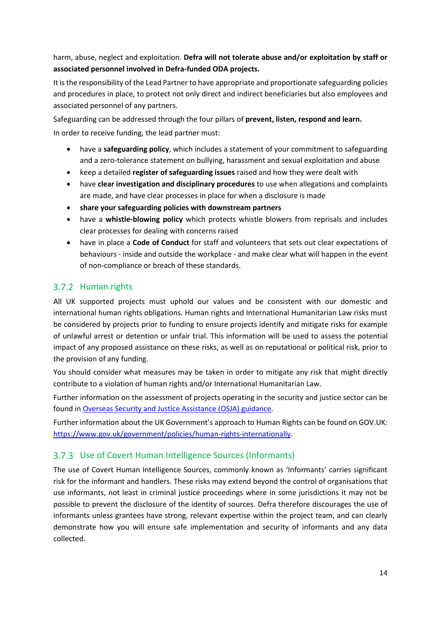harm, abuse, neglect and exploitation. **Defra will not tolerate abuse and/or exploitation by staff or associated personnel involved in Defra-funded ODA projects.**

It is the responsibility of the Lead Partner to have appropriate and proportionate safeguarding policies and procedures in place, to protect not only direct and indirect beneficiaries but also employees and associated personnel of any partners.

Safeguarding can be addressed through the four pillars of **prevent, listen, respond and learn.** In order to receive funding, the lead partner must:

- have a **safeguarding policy**, which includes a statement of your commitment to safeguarding and a zero-tolerance statement on bullying, harassment and sexual exploitation and abuse
- keep a detailed **register of safeguarding issues** raised and how they were dealt with
- have **clear investigation and disciplinary procedures** to use when allegations and complaints are made, and have clear processes in place for when a disclosure is made
- **share your safeguarding policies with downstream partners**
- have a **whistle-blowing policy** which protects whistle blowers from reprisals and includes clear processes for dealing with concerns raised
- have in place a **Code of Conduct** for staff and volunteers that sets out clear expectations of behaviours - inside and outside the workplace - and make clear what will happen in the event of non-compliance or breach of these standards.

#### 3.7.2 Human rights

All UK supported projects must uphold our values and be consistent with our domestic and international human rights obligations. Human rights and International Humanitarian Law risks must be considered by projects prior to funding to ensure projects identify and mitigate risks for example of unlawful arrest or detention or unfair trial. This information will be used to assess the potential impact of any proposed assistance on these risks, as well as on reputational or political risk, prior to the provision of any funding.

You should consider what measures may be taken in order to mitigate any risk that might directly contribute to a violation of human rights and/or International Humanitarian Law.

Further information on the assessment of projects operating in the security and justice sector can be found in [Overseas Security and Justice Assistance \(OSJA\) guidance.](https://assets.publishing.service.gov.uk/government/uploads/system/uploads/attachment_data/file/583304/OSJA_Guidance_2017.pdf)

Further information about the UK Government's approach to Human Rights can be found on GOV.UK: [https://www.gov.uk/government/policies/human-rights-internationally.](https://www.gov.uk/government/policies/human-rights-internationally)

#### Use of Covert Human Intelligence Sources (Informants)

The use of Covert Human Intelligence Sources, commonly known as 'Informants' carries significant risk for the informant and handlers. These risks may extend beyond the control of organisations that use informants, not least in criminal justice proceedings where in some jurisdictions it may not be possible to prevent the disclosure of the identity of sources. Defra therefore discourages the use of informants unless grantees have strong, relevant expertise within the project team, and can clearly demonstrate how you will ensure safe implementation and security of informants and any data collected.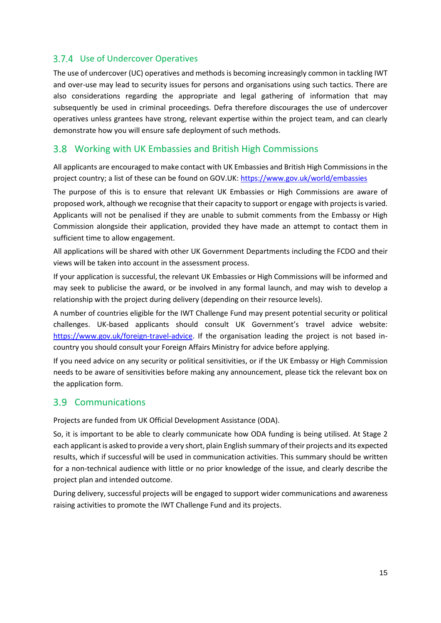#### Use of Undercover Operatives

The use of undercover (UC) operatives and methods is becoming increasingly common in tackling IWT and over-use may lead to security issues for persons and organisations using such tactics. There are also considerations regarding the appropriate and legal gathering of information that may subsequently be used in criminal proceedings. Defra therefore discourages the use of undercover operatives unless grantees have strong, relevant expertise within the project team, and can clearly demonstrate how you will ensure safe deployment of such methods.

#### <span id="page-15-0"></span>Working with UK Embassies and British High Commissions

All applicants are encouraged to make contact with UK Embassies and British High Commissions in the project country; a list of these can be found on GOV.UK:<https://www.gov.uk/world/embassies>

The purpose of this is to ensure that relevant UK Embassies or High Commissions are aware of proposed work, although we recognise that their capacity to support or engage with projects is varied. Applicants will not be penalised if they are unable to submit comments from the Embassy or High Commission alongside their application, provided they have made an attempt to contact them in sufficient time to allow engagement.

All applications will be shared with other UK Government Departments including the FCDO and their views will be taken into account in the assessment process.

If your application is successful, the relevant UK Embassies or High Commissions will be informed and may seek to publicise the award, or be involved in any formal launch, and may wish to develop a relationship with the project during delivery (depending on their resource levels).

A number of countries eligible for the IWT Challenge Fund may present potential security or political challenges. UK-based applicants should consult UK Government's travel advice website: [https://www.gov.uk/foreign-travel-advice.](https://www.gov.uk/foreign-travel-advice) If the organisation leading the project is not based incountry you should consult your Foreign Affairs Ministry for advice before applying.

If you need advice on any security or political sensitivities, or if the UK Embassy or High Commission needs to be aware of sensitivities before making any announcement, please tick the relevant box on the application form.

#### <span id="page-15-1"></span>3.9 Communications

Projects are funded from UK Official Development Assistance (ODA).

So, it is important to be able to clearly communicate how ODA funding is being utilised. At Stage 2 each applicant is asked to provide a very short, plain English summary of their projects and its expected results, which if successful will be used in communication activities. This summary should be written for a non-technical audience with little or no prior knowledge of the issue, and clearly describe the project plan and intended outcome.

During delivery, successful projects will be engaged to support wider communications and awareness raising activities to promote the IWT Challenge Fund and its projects.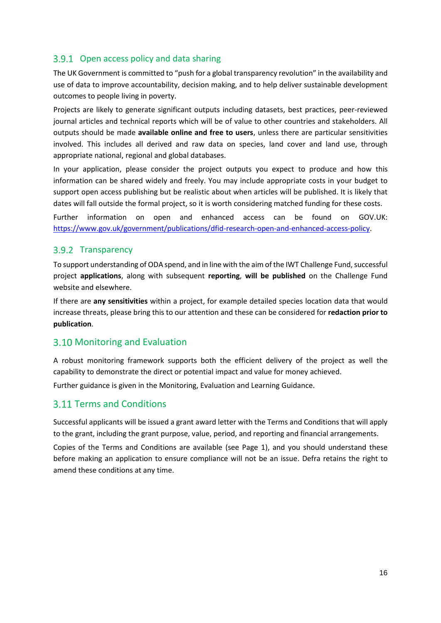#### 3.9.1 Open access policy and data sharing

The UK Government is committed to "push for a global transparency revolution" in the availability and use of data to improve accountability, decision making, and to help deliver sustainable development outcomes to people living in poverty.

Projects are likely to generate significant outputs including datasets, best practices, peer-reviewed journal articles and technical reports which will be of value to other countries and stakeholders. All outputs should be made **available online and free to users**, unless there are particular sensitivities involved. This includes all derived and raw data on species, land cover and land use, through appropriate national, regional and global databases.

In your application, please consider the project outputs you expect to produce and how this information can be shared widely and freely. You may include appropriate costs in your budget to support open access publishing but be realistic about when articles will be published. It is likely that dates will fall outside the formal project, so it is worth considering matched funding for these costs.

Further information on open and enhanced access can be found on GOV.UK: [https://www.gov.uk/government/publications/dfid-research-open-and-enhanced-access-policy.](https://www.gov.uk/government/publications/dfid-research-open-and-enhanced-access-policy)

#### 3.9.2 Transparency

To support understanding of ODA spend, and in line with the aim of the IWT Challenge Fund, successful project **applications**, along with subsequent **reporting**, **will be published** on the Challenge Fund website and elsewhere.

If there are **any sensitivities** within a project, for example detailed species location data that would increase threats, please bring this to our attention and these can be considered for **redaction prior to publication**.

#### <span id="page-16-0"></span>3.10 Monitoring and Evaluation

A robust monitoring framework supports both the efficient delivery of the project as well the capability to demonstrate the direct or potential impact and value for money achieved.

Further guidance is given in the Monitoring, Evaluation and Learning Guidance.

#### <span id="page-16-1"></span>3.11 Terms and Conditions

Successful applicants will be issued a grant award letter with the Terms and Conditions that will apply to the grant, including the grant purpose, value, period, and reporting and financial arrangements.

Copies of the Terms and Conditions are available (see Page 1), and you should understand these before making an application to ensure compliance will not be an issue. Defra retains the right to amend these conditions at any time.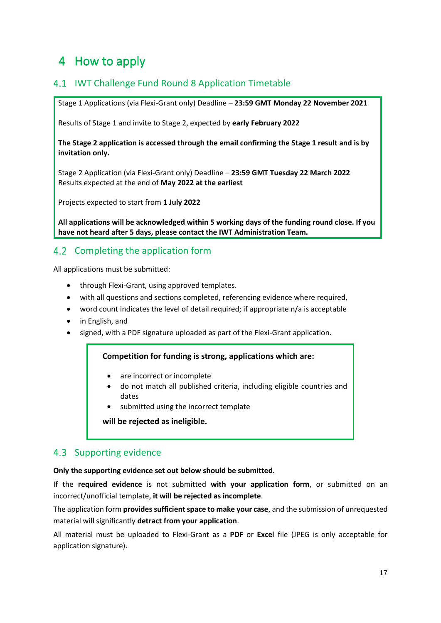## <span id="page-17-0"></span>4 How to apply

#### <span id="page-17-1"></span>4.1 IWT Challenge Fund Round 8 Application Timetable

Stage 1 Applications (via Flexi-Grant only) Deadline – **23:59 GMT Monday 22 November 2021**

Results of Stage 1 and invite to Stage 2, expected by **early February 2022**

**The Stage 2 application is accessed through the email confirming the Stage 1 result and is by invitation only.**

Stage 2 Application (via Flexi-Grant only) Deadline – **23:59 GMT Tuesday 22 March 2022** Results expected at the end of **May 2022 at the earliest**

Projects expected to start from **1 July 2022**

**All applications will be acknowledged within 5 working days of the funding round close. If you have not heard after 5 days, please contact the IWT Administration Team.**

#### <span id="page-17-2"></span>4.2 Completing the application form

All applications must be submitted:

- through Flexi-Grant, using approved templates.
- with all questions and sections completed, referencing evidence where required,
- word count indicates the level of detail required; if appropriate n/a is acceptable
- in English, and
- signed, with a PDF signature uploaded as part of the Flexi-Grant application.

#### **Competition for funding is strong, applications which are:**

- are incorrect or incomplete
- do not match all published criteria, including eligible countries and dates
- submitted using the incorrect template

**will be rejected as ineligible.**

#### <span id="page-17-3"></span>4.3 Supporting evidence

**Only the supporting evidence set out below should be submitted.**

If the **required evidence** is not submitted **with your application form**, or submitted on an incorrect/unofficial template, **it will be rejected as incomplete**.

The application form **provides sufficient space to make your case**, and the submission of unrequested material will significantly **detract from your application**.

All material must be uploaded to Flexi-Grant as a **PDF** or **Excel** file (JPEG is only acceptable for application signature).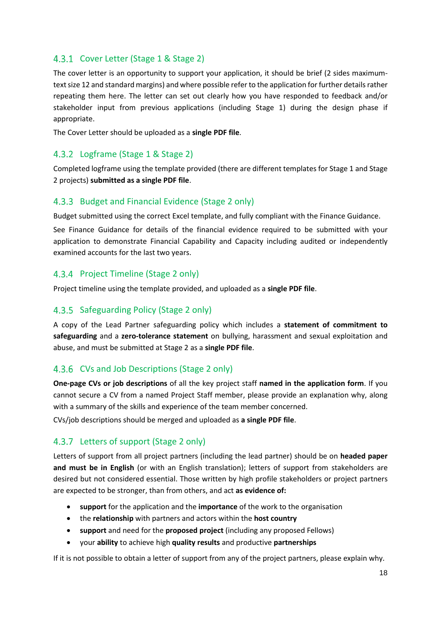#### Cover Letter (Stage 1 & Stage 2)

The cover letter is an opportunity to support your application, it should be brief (2 sides maximumtext size 12 and standard margins) and where possible refer to the application for further details rather repeating them here. The letter can set out clearly how you have responded to feedback and/or stakeholder input from previous applications (including Stage 1) during the design phase if appropriate.

The Cover Letter should be uploaded as a **single PDF file**.

#### Logframe (Stage 1 & Stage 2)

Completed logframe using the template provided (there are different templates for Stage 1 and Stage 2 projects) **submitted as a single PDF file**.

#### 4.3.3 Budget and Financial Evidence (Stage 2 only)

Budget submitted using the correct Excel template, and fully compliant with the Finance Guidance.

See Finance Guidance for details of the financial evidence required to be submitted with your application to demonstrate Financial Capability and Capacity including audited or independently examined accounts for the last two years.

#### 4.3.4 Project Timeline (Stage 2 only)

Project timeline using the template provided, and uploaded as a **single PDF file**.

#### 4.3.5 Safeguarding Policy (Stage 2 only)

A copy of the Lead Partner safeguarding policy which includes a **statement of commitment to safeguarding** and a **zero-tolerance statement** on bullying, harassment and sexual exploitation and abuse, and must be submitted at Stage 2 as a **single PDF file**.

#### CVs and Job Descriptions (Stage 2 only)

**One-page CVs or job descriptions** of all the key project staff **named in the application form**. If you cannot secure a CV from a named Project Staff member, please provide an explanation why, along with a summary of the skills and experience of the team member concerned.

CVs/job descriptions should be merged and uploaded as **a single PDF file**.

#### 4.3.7 Letters of support (Stage 2 only)

Letters of support from all project partners (including the lead partner) should be on **headed paper and must be in English** (or with an English translation); letters of support from stakeholders are desired but not considered essential. Those written by high profile stakeholders or project partners are expected to be stronger, than from others, and act **as evidence of:**

- **support** for the application and the **importance** of the work to the organisation
- the **relationship** with partners and actors within the **host country**
- **support** and need for the **proposed project** (including any proposed Fellows)
- your **ability** to achieve high **quality results** and productive **partnerships**

If it is not possible to obtain a letter of support from any of the project partners, please explain why.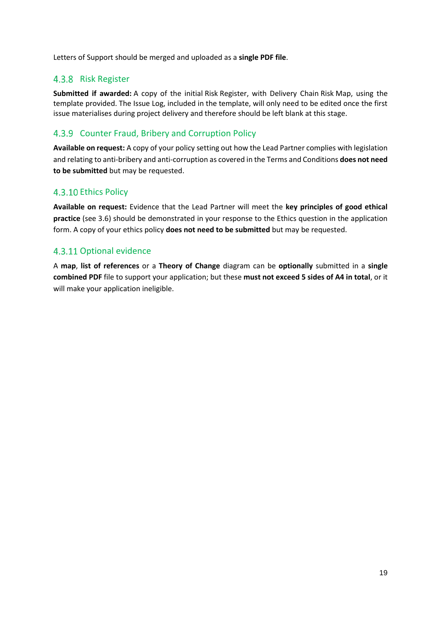Letters of Support should be merged and uploaded as a **single PDF file**.

#### 4.3.8 Risk Register

**Submitted if awarded:** A copy of the initial Risk Register, with Delivery Chain Risk Map, using the template provided. The Issue Log, included in the template, will only need to be edited once the first issue materialises during project delivery and therefore should be left blank at this stage.

#### 4.3.9 Counter Fraud, Bribery and Corruption Policy

**Available on request:** A copy of your policy setting out how the Lead Partner complies with legislation and relating to anti-bribery and anti-corruption as covered in the Terms and Conditions **does not need to be submitted** but may be requested.

#### 4.3.10 Ethics Policy

**Available on request:** Evidence that the Lead Partner will meet the **key principles of good ethical practice** (see [3.6\)](#page-13-1) should be demonstrated in your response to the Ethics question in the application form. A copy of your ethics policy **does not need to be submitted** but may be requested.

#### 4.3.11 Optional evidence

A **map**, **list of references** or a **Theory of Change** diagram can be **optionally** submitted in a **single combined PDF** file to support your application; but these **must not exceed 5 sides of A4 in total**, or it will make your application ineligible.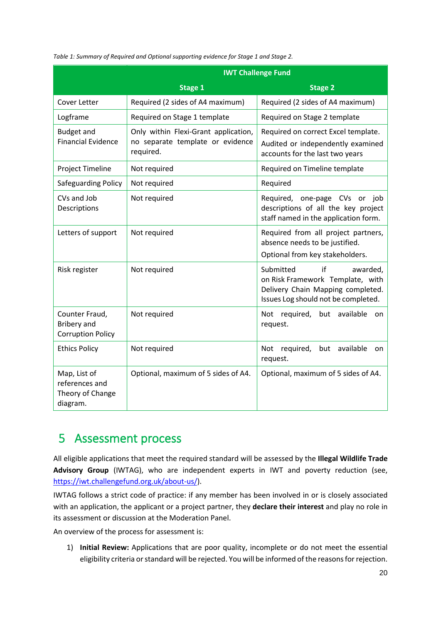| Table 1: Summary of Required and Optional supporting evidence for Stage 1 and Stage 2. |
|----------------------------------------------------------------------------------------|
|----------------------------------------------------------------------------------------|

|                                                                  | <b>IWT Challenge Fund</b>                                                             |                                                                                                                                             |  |
|------------------------------------------------------------------|---------------------------------------------------------------------------------------|---------------------------------------------------------------------------------------------------------------------------------------------|--|
|                                                                  | <b>Stage 1</b>                                                                        | <b>Stage 2</b>                                                                                                                              |  |
| Cover Letter                                                     | Required (2 sides of A4 maximum)                                                      | Required (2 sides of A4 maximum)                                                                                                            |  |
| Logframe                                                         | Required on Stage 1 template                                                          | Required on Stage 2 template                                                                                                                |  |
| <b>Budget and</b><br><b>Financial Evidence</b>                   | Only within Flexi-Grant application,<br>no separate template or evidence<br>required. | Required on correct Excel template.<br>Audited or independently examined<br>accounts for the last two years                                 |  |
| Project Timeline                                                 | Not required                                                                          | Required on Timeline template                                                                                                               |  |
| <b>Safeguarding Policy</b>                                       | Not required                                                                          | Required                                                                                                                                    |  |
| CVs and Job<br>Descriptions                                      | Not required                                                                          | Required, one-page CVs or job<br>descriptions of all the key project<br>staff named in the application form.                                |  |
| Letters of support                                               | Not required                                                                          | Required from all project partners,<br>absence needs to be justified.<br>Optional from key stakeholders.                                    |  |
| Risk register                                                    | Not required                                                                          | Submitted<br>if<br>awarded,<br>on Risk Framework Template, with<br>Delivery Chain Mapping completed.<br>Issues Log should not be completed. |  |
| Counter Fraud,<br><b>Bribery</b> and<br><b>Corruption Policy</b> | Not required                                                                          | Not required, but<br>available<br>on<br>request.                                                                                            |  |
| <b>Ethics Policy</b>                                             | Not required                                                                          | Not required,<br>available<br>but<br>on<br>request.                                                                                         |  |
| Map, List of<br>references and<br>Theory of Change<br>diagram.   | Optional, maximum of 5 sides of A4.                                                   | Optional, maximum of 5 sides of A4.                                                                                                         |  |

## <span id="page-20-0"></span>5 Assessment process

All eligible applications that meet the required standard will be assessed by the **Illegal Wildlife Trade Advisory Group** (IWTAG), who are independent experts in IWT and poverty reduction (see, [https://iwt.challengefund.org.uk/about-us/\)](https://iwt.challengefund.org.uk/about-us/).

IWTAG follows a strict code of practice: if any member has been involved in or is closely associated with an application, the applicant or a project partner, they **declare their interest** and play no role in its assessment or discussion at the Moderation Panel.

An overview of the process for assessment is:

1) **Initial Review:** Applications that are poor quality, incomplete or do not meet the essential eligibility criteria or standard will be rejected. You will be informed of the reasons for rejection.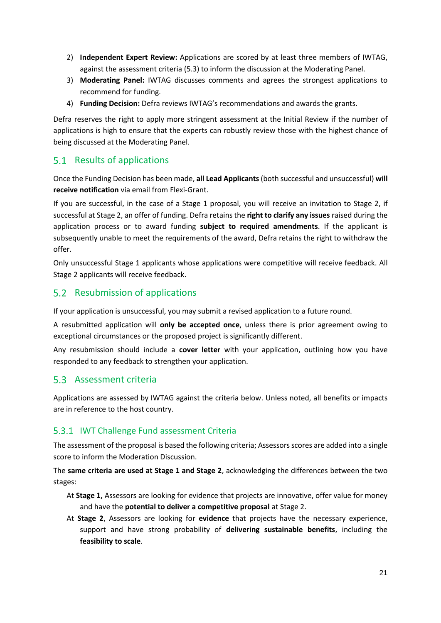- 2) **Independent Expert Review:** Applications are scored by at least three members of IWTAG, against the assessment criteria [\(5.3\)](#page-21-2) to inform the discussion at the Moderating Panel.
- 3) **Moderating Panel:** IWTAG discusses comments and agrees the strongest applications to recommend for funding.
- 4) **Funding Decision:** Defra reviews IWTAG's recommendations and awards the grants.

Defra reserves the right to apply more stringent assessment at the Initial Review if the number of applications is high to ensure that the experts can robustly review those with the highest chance of being discussed at the Moderating Panel.

#### <span id="page-21-0"></span>5.1 Results of applications

Once the Funding Decision has been made, **all Lead Applicants** (both successful and unsuccessful) **will receive notification** via email from Flexi-Grant.

If you are successful, in the case of a Stage 1 proposal, you will receive an invitation to Stage 2, if successful at Stage 2, an offer of funding. Defra retains the **right to clarify any issues** raised during the application process or to award funding **subject to required amendments**. If the applicant is subsequently unable to meet the requirements of the award, Defra retains the right to withdraw the offer.

Only unsuccessful Stage 1 applicants whose applications were competitive will receive feedback. All Stage 2 applicants will receive feedback.

#### <span id="page-21-1"></span>5.2 Resubmission of applications

If your application is unsuccessful, you may submit a revised application to a future round.

A resubmitted application will **only be accepted once**, unless there is prior agreement owing to exceptional circumstances or the proposed project is significantly different.

Any resubmission should include a **cover letter** with your application, outlining how you have responded to any feedback to strengthen your application.

#### <span id="page-21-2"></span>5.3 Assessment criteria

Applications are assessed by IWTAG against the criteria below. Unless noted, all benefits or impacts are in reference to the host country.

#### 5.3.1 IWT Challenge Fund assessment Criteria

The assessment of the proposal is based the following criteria; Assessors scores are added into a single score to inform the Moderation Discussion.

The **same criteria are used at Stage 1 and Stage 2**, acknowledging the differences between the two stages:

- At **Stage 1,** Assessors are looking for evidence that projects are innovative, offer value for money and have the **potential to deliver a competitive proposal** at Stage 2.
- At **Stage 2**, Assessors are looking for **evidence** that projects have the necessary experience, support and have strong probability of **delivering sustainable benefits**, including the **feasibility to scale**.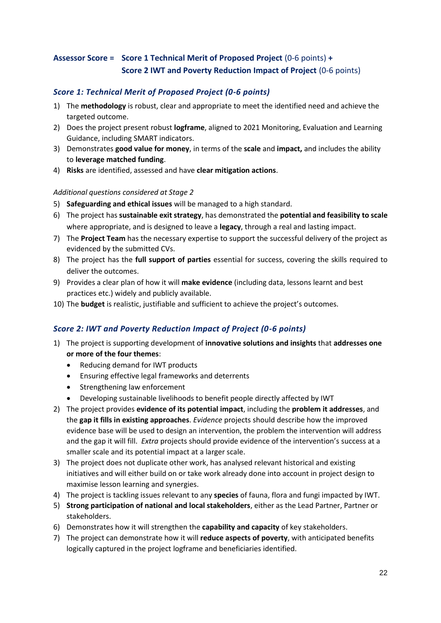#### **Assessor Score = Score 1 Technical Merit of Proposed Project** (0-6 points) **+ Score 2 IWT and Poverty Reduction Impact of Project** (0-6 points)

#### *Score 1: Technical Merit of Proposed Project (0-6 points)*

- 1) The **methodology** is robust, clear and appropriate to meet the identified need and achieve the targeted outcome.
- 2) Does the project present robust **logframe**, aligned to 2021 Monitoring, Evaluation and Learning Guidance, including SMART indicators.
- 3) Demonstrates **good value for money**, in terms of the **scale** and **impact,** and includes the ability to **leverage matched funding**.
- 4) **Risks** are identified, assessed and have **clear mitigation actions**.

#### *Additional questions considered at Stage 2*

- 5) **Safeguarding and ethical issues** will be managed to a high standard.
- 6) The project has **sustainable exit strategy**, has demonstrated the **potential and feasibility to scale** where appropriate, and is designed to leave a **legacy**, through a real and lasting impact.
- 7) The **Project Team** has the necessary expertise to support the successful delivery of the project as evidenced by the submitted CVs.
- 8) The project has the **full support of parties** essential for success, covering the skills required to deliver the outcomes.
- 9) Provides a clear plan of how it will **make evidence** (including data, lessons learnt and best practices etc.) widely and publicly available.
- 10) The **budget** is realistic, justifiable and sufficient to achieve the project's outcomes.

#### *Score 2: IWT and Poverty Reduction Impact of Project (0-6 points)*

- 1) The project is supporting development of **innovative solutions and insights** that **addresses one or more of the four themes**:
	- Reducing demand for IWT products
	- Ensuring effective legal frameworks and deterrents
	- Strengthening law enforcement
	- Developing sustainable livelihoods to benefit people directly affected by IWT
- 2) The project provides **evidence of its potential impact**, including the **problem it addresses**, and the **gap it fills in existing approaches**. *Evidence* projects should describe how the improved evidence base will be used to design an intervention, the problem the intervention will address and the gap it will fill. *Extra* projects should provide evidence of the intervention's success at a smaller scale and its potential impact at a larger scale.
- 3) The project does not duplicate other work, has analysed relevant historical and existing initiatives and will either build on or take work already done into account in project design to maximise lesson learning and synergies.
- 4) The project is tackling issues relevant to any **species** of fauna, flora and fungi impacted by IWT.
- 5) **Strong participation of national and local stakeholders**, either as the Lead Partner, Partner or stakeholders.
- 6) Demonstrates how it will strengthen the **capability and capacity** of key stakeholders.
- 7) The project can demonstrate how it will **reduce aspects of poverty**, with anticipated benefits logically captured in the project logframe and beneficiaries identified.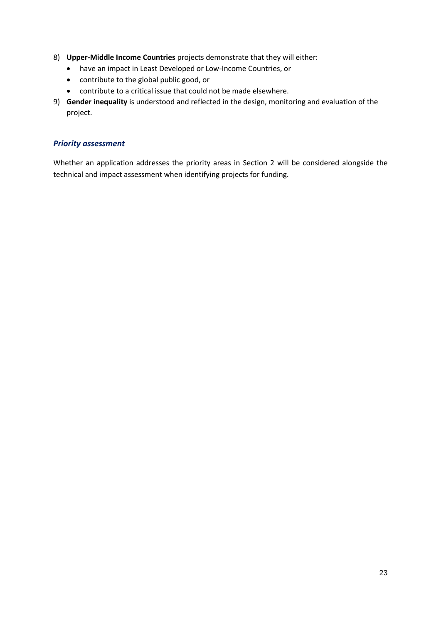- 8) **Upper-Middle Income Countries** projects demonstrate that they will either:
	- have an impact in Least Developed or Low-Income Countries, or
	- contribute to the global public good, or
	- contribute to a critical issue that could not be made elsewhere.
- 9) **Gender inequality** is understood and reflected in the design, monitoring and evaluation of the project.

#### *Priority assessment*

Whether an application addresses the priority areas in Section 2 will be considered alongside the technical and impact assessment when identifying projects for funding.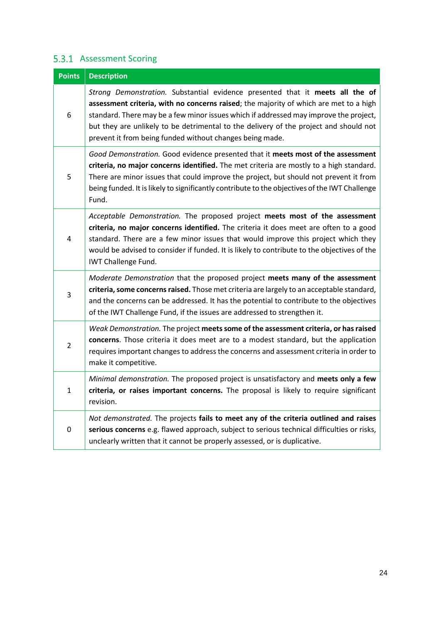#### 5.3.1 Assessment Scoring

| <b>Points</b>           | <b>Description</b>                                                                                                                                                                                                                                                                                                                                                                                                   |  |
|-------------------------|----------------------------------------------------------------------------------------------------------------------------------------------------------------------------------------------------------------------------------------------------------------------------------------------------------------------------------------------------------------------------------------------------------------------|--|
| 6                       | Strong Demonstration. Substantial evidence presented that it meets all the of<br>assessment criteria, with no concerns raised; the majority of which are met to a high<br>standard. There may be a few minor issues which if addressed may improve the project,<br>but they are unlikely to be detrimental to the delivery of the project and should not<br>prevent it from being funded without changes being made. |  |
| 5                       | Good Demonstration. Good evidence presented that it meets most of the assessment<br>criteria, no major concerns identified. The met criteria are mostly to a high standard.<br>There are minor issues that could improve the project, but should not prevent it from<br>being funded. It is likely to significantly contribute to the objectives of the IWT Challenge<br>Fund.                                       |  |
| $\overline{\mathbf{4}}$ | Acceptable Demonstration. The proposed project meets most of the assessment<br>criteria, no major concerns identified. The criteria it does meet are often to a good<br>standard. There are a few minor issues that would improve this project which they<br>would be advised to consider if funded. It is likely to contribute to the objectives of the<br><b>IWT Challenge Fund.</b>                               |  |
| 3                       | Moderate Demonstration that the proposed project meets many of the assessment<br>criteria, some concerns raised. Those met criteria are largely to an acceptable standard,<br>and the concerns can be addressed. It has the potential to contribute to the objectives<br>of the IWT Challenge Fund, if the issues are addressed to strengthen it.                                                                    |  |
| $\overline{2}$          | Weak Demonstration. The project meets some of the assessment criteria, or has raised<br>concerns. Those criteria it does meet are to a modest standard, but the application<br>requires important changes to address the concerns and assessment criteria in order to<br>make it competitive.                                                                                                                        |  |
| $\mathbf{1}$            | Minimal demonstration. The proposed project is unsatisfactory and meets only a few<br>criteria, or raises important concerns. The proposal is likely to require significant<br>revision.                                                                                                                                                                                                                             |  |
| $\boldsymbol{0}$        | Not demonstrated. The projects fails to meet any of the criteria outlined and raises<br>serious concerns e.g. flawed approach, subject to serious technical difficulties or risks,<br>unclearly written that it cannot be properly assessed, or is duplicative.                                                                                                                                                      |  |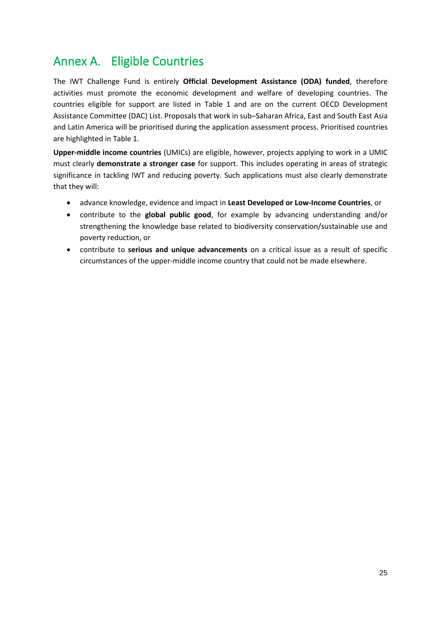### <span id="page-25-0"></span>Annex A. Eligible Countries

The IWT Challenge Fund is entirely **Official Development Assistance (ODA) funded**, therefore activities must promote the economic development and welfare of developing countries. The countries eligible for support are listed in Table 1 and are on the current OECD Development Assistance Committee (DAC) List. Proposals that work in sub–Saharan Africa, East and South East Asia and Latin America will be prioritised during the application assessment process. Prioritised countries are highlighted in Table 1.

**Upper-middle income countries** (UMICs) are eligible, however, projects applying to work in a UMIC must clearly **demonstrate a stronger case** for support. This includes operating in areas of strategic significance in tackling IWT and reducing poverty. Such applications must also clearly demonstrate that they will:

- advance knowledge, evidence and impact in **Least Developed or Low-Income Countries**, or
- contribute to the **global public good**, for example by advancing understanding and/or strengthening the knowledge base related to biodiversity conservation/sustainable use and poverty reduction, or
- contribute to **serious and unique advancements** on a critical issue as a result of specific circumstances of the upper-middle income country that could not be made elsewhere.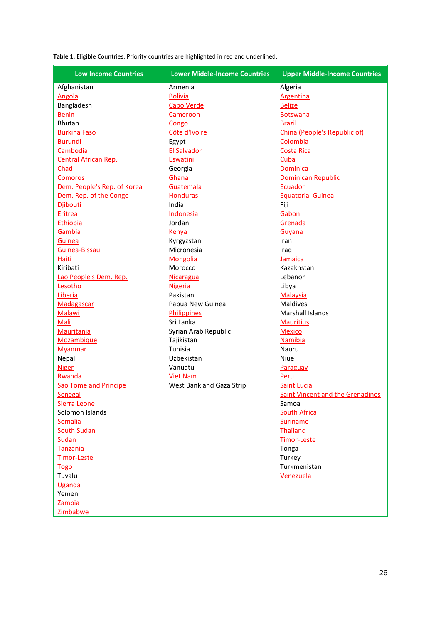**Table 1.** Eligible Countries. Priority countries are highlighted in red and underlined.

| <b>Low Income Countries</b> | <b>Lower Middle-Income Countries</b> | <b>Upper Middle-Income Countries</b>    |
|-----------------------------|--------------------------------------|-----------------------------------------|
| Afghanistan                 | Armenia                              | Algeria                                 |
| Angola                      | <b>Bolivia</b>                       | <b>Argentina</b>                        |
| Bangladesh                  | <b>Cabo Verde</b>                    | <b>Belize</b>                           |
| <b>Benin</b>                | Cameroon                             | <b>Botswana</b>                         |
| <b>Bhutan</b>               | Congo                                | <b>Brazil</b>                           |
| <b>Burkina Faso</b>         | Côte d'Ivoire                        | China (People's Republic of)            |
| <b>Burundi</b>              | Egypt                                | Colombia                                |
| Cambodia                    | <b>El Salvador</b>                   | <b>Costa Rica</b>                       |
| Central African Rep.        | Eswatini                             | Cuba                                    |
| Chad                        | Georgia                              | <b>Dominica</b>                         |
| <b>Comoros</b>              | Ghana                                | <b>Dominican Republic</b>               |
| Dem. People's Rep. of Korea | Guatemala                            | Ecuador                                 |
| Dem. Rep. of the Congo      | <b>Honduras</b>                      | <b>Equatorial Guinea</b>                |
| <b>Djibouti</b>             | India                                | Fiji                                    |
| Eritrea                     | Indonesia                            | Gabon                                   |
| Ethiopia                    | Jordan                               | Grenada                                 |
| Gambia                      | Kenya                                | Guyana                                  |
| <b>Guinea</b>               | Kyrgyzstan                           | Iran                                    |
| Guinea-Bissau               | Micronesia                           | Iraq                                    |
| <b>Haiti</b>                | Mongolia                             | Jamaica                                 |
| Kiribati                    | Morocco                              | Kazakhstan                              |
| Lao People's Dem. Rep.      | <b>Nicaragua</b>                     | Lebanon                                 |
| Lesotho                     | <b>Nigeria</b>                       | Libya                                   |
| Liberia                     | Pakistan                             | Malaysia                                |
| Madagascar                  | Papua New Guinea                     | <b>Maldives</b>                         |
| <b>Malawi</b>               | <b>Philippines</b>                   | <b>Marshall Islands</b>                 |
| Mali                        | Sri Lanka                            | <b>Mauritius</b>                        |
| <b>Mauritania</b>           | Syrian Arab Republic                 | <b>Mexico</b>                           |
| Mozambique                  | Tajikistan                           | Namibia                                 |
| <b>Myanmar</b>              | Tunisia                              | Nauru                                   |
| Nepal                       | Uzbekistan                           | Niue                                    |
| <b>Niger</b>                | Vanuatu                              | Paraguay                                |
| Rwanda                      | <b>Viet Nam</b>                      | Peru                                    |
| Sao Tome and Principe       | West Bank and Gaza Strip             | <b>Saint Lucia</b>                      |
| Senegal                     |                                      | <b>Saint Vincent and the Grenadines</b> |
| Sierra Leone                |                                      | Samoa                                   |
| Solomon Islands             |                                      | <b>South Africa</b>                     |
| Somalia                     |                                      | Suriname                                |
| <b>South Sudan</b>          |                                      | <b>Thailand</b>                         |
| Sudan                       |                                      | <b>Timor-Leste</b>                      |
| <b>Tanzania</b>             |                                      | Tonga                                   |
| Timor-Leste                 |                                      | Turkey                                  |
| <b>Togo</b>                 |                                      | Turkmenistan                            |
| Tuvalu                      |                                      | Venezuela                               |
| Uganda                      |                                      |                                         |
| Yemen                       |                                      |                                         |
| Zambia                      |                                      |                                         |
| Zimbabwe                    |                                      |                                         |